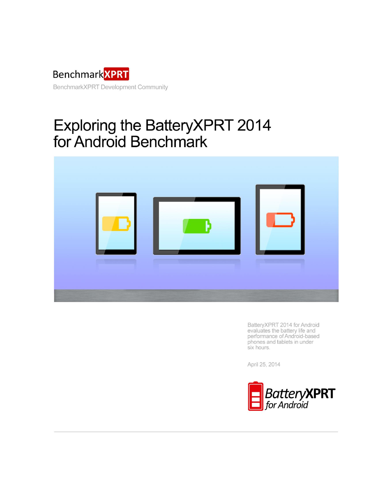

# Exploring the BatteryXPRT 2014 for Android Benchmark



BatteryXPRT 2014 for Android evaluates the battery life and performance of Android-based phones and tablets in under six hours.

April 25, 2014

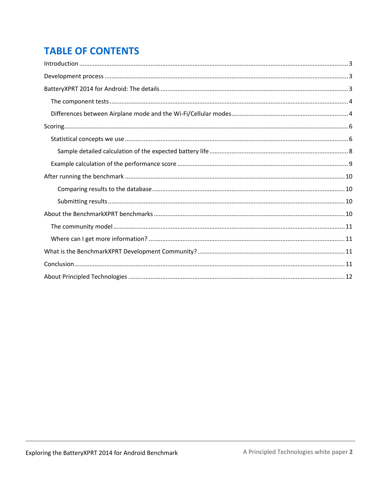# **TABLE OF CONTENTS**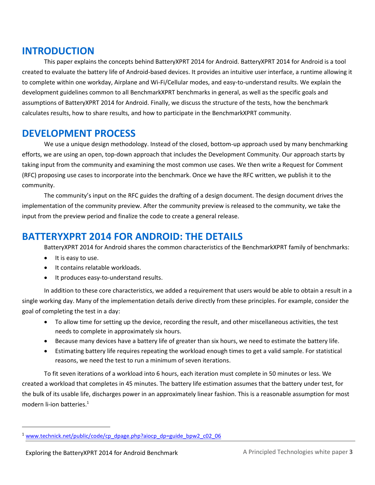### <span id="page-2-0"></span>**INTRODUCTION**

This paper explains the concepts behind BatteryXPRT 2014 for Android. BatteryXPRT 2014 for Android is a tool created to evaluate the battery life of Android-based devices. It provides an intuitive user interface, a runtime allowing it to complete within one workday, Airplane and Wi-Fi/Cellular modes, and easy-to-understand results. We explain the development guidelines common to all BenchmarkXPRT benchmarks in general, as well as the specific goals and assumptions of BatteryXPRT 2014 for Android. Finally, we discuss the structure of the tests, how the benchmark calculates results, how to share results, and how to participate in the BenchmarkXPRT community.

# <span id="page-2-1"></span>**DEVELOPMENT PROCESS**

We use a unique design methodology. Instead of the closed, bottom-up approach used by many benchmarking efforts, we are using an open, top-down approach that includes the Development Community. Our approach starts by taking input from the community and examining the most common use cases. We then write a Request for Comment (RFC) proposing use cases to incorporate into the benchmark. Once we have the RFC written, we publish it to the community.

The community's input on the RFC guides the drafting of a design document. The design document drives the implementation of the community preview. After the community preview is released to the community, we take the input from the preview period and finalize the code to create a general release.

# <span id="page-2-2"></span>**BATTERYXPRT 2014 FOR ANDROID: THE DETAILS**

BatteryXPRT 2014 for Android shares the common characteristics of the BenchmarkXPRT family of benchmarks:

• It is easy to use.

 $\overline{a}$ 

- It contains relatable workloads.
- It produces easy-to-understand results.

In addition to these core characteristics, we added a requirement that users would be able to obtain a result in a single working day. Many of the implementation details derive directly from these principles. For example, consider the goal of completing the test in a day:

- To allow time for setting up the device, recording the result, and other miscellaneous activities, the test needs to complete in approximately six hours.
- Because many devices have a battery life of greater than six hours, we need to estimate the battery life.
- Estimating battery life requires repeating the workload enough times to get a valid sample. For statistical reasons, we need the test to run a minimum of seven iterations.

To fit seven iterations of a workload into 6 hours, each iteration must complete in 50 minutes or less. We created a workload that completes in 45 minutes. The battery life estimation assumes that the battery under test, for the bulk of its usable life, discharges power in an approximately linear fashion. This is a reasonable assumption for most modern li-ion batteries. 1

[www.technick.net/public/code/cp\\_dpage.php?aiocp\\_dp=guide\\_bpw2\\_c02\\_06](http://www.technick.net/public/code/cp_dpage.php?aiocp_dp=guide_bpw2_c02_06)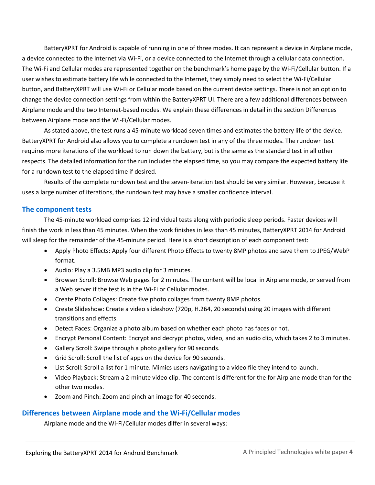BatteryXPRT for Android is capable of running in one of three modes. It can represent a device in Airplane mode, a device connected to the Internet via Wi-Fi, or a device connected to the Internet through a cellular data connection. The Wi-Fi and Cellular modes are represented together on the benchmark's home page by the Wi-Fi/Cellular button. If a user wishes to estimate battery life while connected to the Internet, they simply need to select the Wi-Fi/Cellular button, and BatteryXPRT will use Wi-Fi or Cellular mode based on the current device settings. There is not an option to change the device connection settings from within the BatteryXPRT UI. There are a few additional differences between Airplane mode and the two Internet-based modes. We explain these differences in detail in the section Differences between Airplane mode and the Wi-Fi/Cellular modes.

As stated above, the test runs a 45-minute workload seven times and estimates the battery life of the device. BatteryXPRT for Android also allows you to complete a rundown test in any of the three modes. The rundown test requires more iterations of the workload to run down the battery, but is the same as the standard test in all other respects. The detailed information for the run includes the elapsed time, so you may compare the expected battery life for a rundown test to the elapsed time if desired.

Results of the complete rundown test and the seven-iteration test should be very similar. However, because it uses a large number of iterations, the rundown test may have a smaller confidence interval.

#### <span id="page-3-0"></span>**The component tests**

The 45-minute workload comprises 12 individual tests along with periodic sleep periods. Faster devices will finish the work in less than 45 minutes. When the work finishes in less than 45 minutes, BatteryXPRT 2014 for Android will sleep for the remainder of the 45-minute period. Here is a short description of each component test:

- Apply Photo Effects: Apply four different Photo Effects to twenty 8MP photos and save them to JPEG/WebP format.
- Audio: Play a 3.5MB MP3 audio clip for 3 minutes.
- Browser Scroll: Browse Web pages for 2 minutes. The content will be local in Airplane mode, or served from a Web server if the test is in the Wi-Fi or Cellular modes.
- Create Photo Collages: Create five photo collages from twenty 8MP photos.
- Create Slideshow: Create a video slideshow (720p, H.264, 20 seconds) using 20 images with different transitions and effects.
- Detect Faces: Organize a photo album based on whether each photo has faces or not.
- Encrypt Personal Content: Encrypt and decrypt photos, video, and an audio clip, which takes 2 to 3 minutes.
- Gallery Scroll: Swipe through a photo gallery for 90 seconds.
- Grid Scroll: Scroll the list of apps on the device for 90 seconds.
- List Scroll: Scroll a list for 1 minute. Mimics users navigating to a video file they intend to launch.
- Video Playback: Stream a 2-minute video clip. The content is different for the for Airplane mode than for the other two modes.
- Zoom and Pinch: Zoom and pinch an image for 40 seconds.

### <span id="page-3-1"></span>**Differences between Airplane mode and the Wi-Fi/Cellular modes**

Airplane mode and the Wi-Fi/Cellular modes differ in several ways: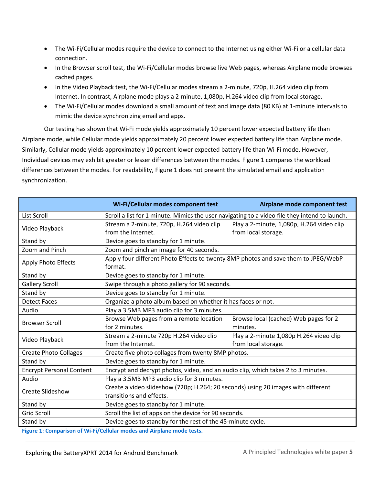- The Wi-Fi/Cellular modes require the device to connect to the Internet using either Wi-Fi or a cellular data connection.
- In the Browser scroll test, the Wi-Fi/Cellular modes browse live Web pages, whereas Airplane mode browses cached pages.
- In the Video Playback test, the Wi-Fi/Cellular modes stream a 2-minute, 720p, H.264 video clip from Internet. In contrast, Airplane mode plays a 2-minute, 1,080p, H.264 video clip from local storage.
- The Wi-Fi/Cellular modes download a small amount of text and image data (80 KB) at 1-minute intervals to mimic the device synchronizing email and apps.

Our testing has shown that Wi-Fi mode yields approximately 10 percent lower expected battery life than Airplane mode, while Cellular mode yields approximately 20 percent lower expected battery life than Airplane mode. Similarly, Cellular mode yields approximately 10 percent lower expected battery life than Wi-Fi mode. However, Individual devices may exhibit greater or lesser differences between the modes. Figure 1 compares the workload differences between the modes. For readability, Figure 1 does not present the simulated email and application synchronization.

|                                 | Wi-Fi/Cellular modes component test                                                           | Airplane mode component test              |  |
|---------------------------------|-----------------------------------------------------------------------------------------------|-------------------------------------------|--|
| List Scroll                     | Scroll a list for 1 minute. Mimics the user navigating to a video file they intend to launch. |                                           |  |
| Video Playback                  | Stream a 2-minute, 720p, H.264 video clip                                                     | Play a 2-minute, 1,080p, H.264 video clip |  |
|                                 | from the Internet.                                                                            | from local storage.                       |  |
| Stand by                        | Device goes to standby for 1 minute.                                                          |                                           |  |
| Zoom and Pinch                  | Zoom and pinch an image for 40 seconds.                                                       |                                           |  |
| Apply Photo Effects             | Apply four different Photo Effects to twenty 8MP photos and save them to JPEG/WebP<br>format. |                                           |  |
| Stand by                        | Device goes to standby for 1 minute.                                                          |                                           |  |
| <b>Gallery Scroll</b>           | Swipe through a photo gallery for 90 seconds.                                                 |                                           |  |
| Stand by                        | Device goes to standby for 1 minute.                                                          |                                           |  |
| <b>Detect Faces</b>             | Organize a photo album based on whether it has faces or not.                                  |                                           |  |
| Audio                           | Play a 3.5MB MP3 audio clip for 3 minutes.                                                    |                                           |  |
| <b>Browser Scroll</b>           | Browse Web pages from a remote location                                                       | Browse local (cached) Web pages for 2     |  |
|                                 | for 2 minutes.                                                                                | minutes.                                  |  |
| Video Playback                  | Stream a 2-minute 720p H.264 video clip                                                       | Play a 2-minute 1,080p H.264 video clip   |  |
|                                 | from the Internet.                                                                            | from local storage.                       |  |
| <b>Create Photo Collages</b>    | Create five photo collages from twenty 8MP photos.                                            |                                           |  |
| Stand by                        | Device goes to standby for 1 minute.                                                          |                                           |  |
| <b>Encrypt Personal Content</b> | Encrypt and decrypt photos, video, and an audio clip, which takes 2 to 3 minutes.             |                                           |  |
| Audio                           | Play a 3.5MB MP3 audio clip for 3 minutes.                                                    |                                           |  |
| Create Slideshow                | Create a video slideshow (720p; H.264; 20 seconds) using 20 images with different             |                                           |  |
|                                 | transitions and effects.                                                                      |                                           |  |
| Stand by                        | Device goes to standby for 1 minute.                                                          |                                           |  |
| <b>Grid Scroll</b>              | Scroll the list of apps on the device for 90 seconds.                                         |                                           |  |
| Stand by                        | Device goes to standby for the rest of the 45-minute cycle.                                   |                                           |  |

**Figure 1: Comparison of Wi-Fi/Cellular modes and Airplane mode tests.**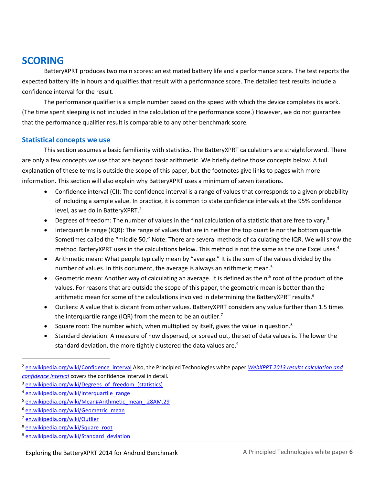### <span id="page-5-0"></span>**SCORING**

BatteryXPRT produces two main scores: an estimated battery life and a performance score. The test reports the expected battery life in hours and qualifies that result with a performance score. The detailed test results include a confidence interval for the result.

The performance qualifier is a simple number based on the speed with which the device completes its work. (The time spent sleeping is not included in the calculation of the performance score.) However, we do not guarantee that the performance qualifier result is comparable to any other benchmark score.

### <span id="page-5-1"></span>**Statistical concepts we use**

This section assumes a basic familiarity with statistics. The BatteryXPRT calculations are straightforward. There are only a few concepts we use that are beyond basic arithmetic. We briefly define those concepts below. A full explanation of these terms is outside the scope of this paper, but the footnotes give links to pages with more information. This section will also explain why BatteryXPRT uses a minimum of seven iterations.

- Confidence interval (CI): The confidence interval is a range of values that corresponds to a given probability of including a sample value. In practice, it is common to state confidence intervals at the 95% confidence level, as we do in BatteryXPRT.<sup>2</sup>
- Degrees of freedom: The number of values in the final calculation of a statistic that are free to vary.<sup>3</sup>
- Interquartile range (IQR): The range of values that are in neither the top quartile nor the bottom quartile. Sometimes called the "middle 50." Note: There are several methods of calculating the IQR. We will show the method BatteryXPRT uses in the calculations below. This method is not the same as the one Excel uses.<sup>4</sup>
- Arithmetic mean: What people typically mean by "average." It is the sum of the values divided by the number of values. In this document, the average is always an arithmetic mean.<sup>5</sup>
- Geometric mean: Another way of calculating an average. It is defined as the  $n<sup>th</sup>$  root of the product of the values. For reasons that are outside the scope of this paper, the geometric mean is better than the arithmetic mean for some of the calculations involved in determining the BatteryXPRT results.<sup>6</sup>
- Outliers: A value that is distant from other values. BatteryXPRT considers any value further than 1.5 times the interquartile range (IQR) from the mean to be an outlier.<sup>7</sup>
- Square root: The number which, when multiplied by itself, gives the value in question.<sup>8</sup>
- Standard deviation: A measure of how dispersed, or spread out, the set of data values is. The lower the standard deviation, the more tightly clustered the data values are.<sup>9</sup>

 $\overline{\phantom{a}}$ 

- <sup>8</sup> [en.wikipedia.org/wiki/Square\\_root](http://en.wikipedia.org/wiki/Square_root)
- <sup>9</sup> en.wikipedia.org/wiki/Standard deviation

<sup>&</sup>lt;sup>2</sup> [en.wikipedia.org/wiki/Confidence\\_interval](http://en.wikipedia.org/wiki/Confidence_interval) Also, the Principled Technologies white paper *WebXPRT 2013 results calculation and [confidence interval](http://principledtechnologies.com/benchmarkxprt/whitepapers/2013/WebXPRT-2013_calculation.pdf)* covers the confidence interval in detail.

<sup>&</sup>lt;sup>3</sup> en.wikipedia.org/wiki/Degrees of freedom (statistics)

<sup>4</sup> [en.wikipedia.org/wiki/Interquartile\\_range](http://en.wikipedia.org/wiki/Interquartile_range)

<sup>5</sup> [en.wikipedia.org/wiki/Mean#Arithmetic\\_mean\\_.28AM.29](http://en.wikipedia.org/wiki/Mean#Arithmetic_mean_.28AM.29)

<sup>&</sup>lt;sup>6</sup> [en.wikipedia.org/wiki/Geometric\\_mean](http://en.wikipedia.org/wiki/Geometric_mean)

<sup>&</sup>lt;sup>7</sup> en. wikipedia.org/wiki/Outlier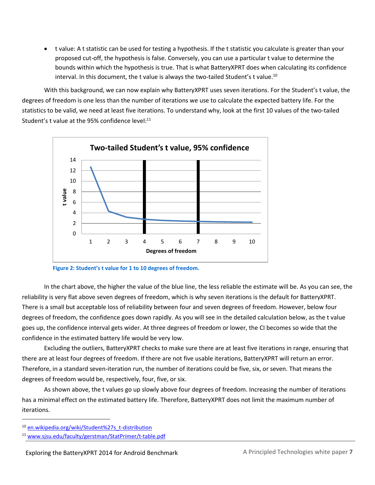t value: A t statistic can be used for testing a hypothesis. If the t statistic you calculate is greater than your proposed cut-off, the hypothesis is false. Conversely, you can use a particular t value to determine the bounds within which the hypothesis is true. That is what BatteryXPRT does when calculating its confidence interval. In this document, the t value is always the two-tailed Student's t value.<sup>10</sup>

With this background, we can now explain why BatteryXPRT uses seven iterations. For the Student's t value, the degrees of freedom is one less than the number of iterations we use to calculate the expected battery life. For the statistics to be valid, we need at least five iterations. To understand why, look at the first 10 values of the two-tailed Student's t value at the 95% confidence level:<sup>11</sup>



**Figure 2: Student's t value for 1 to 10 degrees of freedom.**

In the chart above, the higher the value of the blue line, the less reliable the estimate will be. As you can see, the reliability is very flat above seven degrees of freedom, which is why seven iterations is the default for BatteryXPRT. There is a small but acceptable loss of reliability between four and seven degrees of freedom. However, below four degrees of freedom, the confidence goes down rapidly. As you will see in the detailed calculation below, as the t value goes up, the confidence interval gets wider. At three degrees of freedom or lower, the CI becomes so wide that the confidence in the estimated battery life would be very low.

Excluding the outliers, BatteryXPRT checks to make sure there are at least five iterations in range, ensuring that there are at least four degrees of freedom. If there are not five usable iterations, BatteryXPRT will return an error. Therefore, in a standard seven-iteration run, the number of iterations could be five, six, or seven. That means the degrees of freedom would be, respectively, four, five, or six.

As shown above, the t values go up slowly above four degrees of freedom. Increasing the number of iterations has a minimal effect on the estimated battery life. Therefore, BatteryXPRT does not limit the maximum number of iterations.

 $\overline{\phantom{a}}$ 

<sup>10</sup> [en.wikipedia.org/wiki/Student%27s\\_t-distribution](http://en.wikipedia.org/wiki/Student%27s_t-distribution)

<sup>11</sup> [www.sjsu.edu/faculty/gerstman/StatPrimer/t-table.pdf](http://www.sjsu.edu/faculty/gerstman/StatPrimer/t-table.pdf)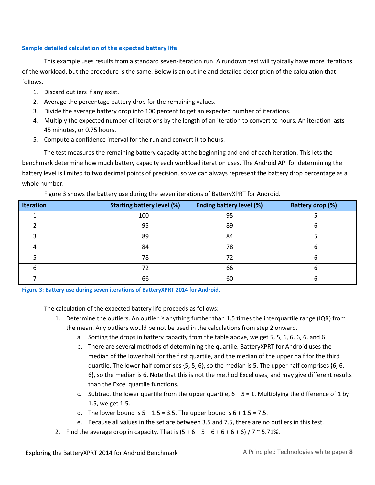#### <span id="page-7-0"></span>**Sample detailed calculation of the expected battery life**

This example uses results from a standard seven-iteration run. A rundown test will typically have more iterations of the workload, but the procedure is the same. Below is an outline and detailed description of the calculation that follows.

- 1. Discard outliers if any exist.
- 2. Average the percentage battery drop for the remaining values.
- 3. Divide the average battery drop into 100 percent to get an expected number of iterations.
- 4. Multiply the expected number of iterations by the length of an iteration to convert to hours. An iteration lasts 45 minutes, or 0.75 hours.
- 5. Compute a confidence interval for the run and convert it to hours.

The test measures the remaining battery capacity at the beginning and end of each iteration. This lets the benchmark determine how much battery capacity each workload iteration uses. The Android API for determining the battery level is limited to two decimal points of precision, so we can always represent the battery drop percentage as a whole number.

| <b>Iteration</b> | <b>Starting battery level (%)</b> | <b>Ending battery level (%)</b> | <b>Battery drop (%)</b> |
|------------------|-----------------------------------|---------------------------------|-------------------------|
|                  | 100                               | 95                              |                         |
|                  | 95                                | 89                              | n                       |
|                  | 89                                | 84                              |                         |
|                  | 84                                | 78                              |                         |
|                  | 78                                | 72                              | n                       |
|                  | 72                                | 66                              |                         |
|                  | 66                                | 60                              |                         |

Figure 3 shows the battery use during the seven iterations of BatteryXPRT for Android.

**Figure 3: Battery use during seven iterations of BatteryXPRT 2014 for Android.**

The calculation of the expected battery life proceeds as follows:

- 1. Determine the outliers. An outlier is anything further than 1.5 times the interquartile range (IQR) from the mean. Any outliers would be not be used in the calculations from step 2 onward.
	- a. Sorting the drops in battery capacity from the table above, we get 5, 5, 6, 6, 6, 6, and 6.
	- b. There are several methods of determining the quartile. BatteryXPRT for Android uses the median of the lower half for the first quartile, and the median of the upper half for the third quartile. The lower half comprises {5, 5, 6}, so the median is 5. The upper half comprises {6, 6, 6}, so the median is 6. Note that this is not the method Excel uses, and may give different results than the Excel quartile functions.
	- c. Subtract the lower quartile from the upper quartile,  $6 5 = 1$ . Multiplying the difference of 1 by 1.5, we get 1.5.
	- d. The lower bound is  $5 1.5 = 3.5$ . The upper bound is  $6 + 1.5 = 7.5$ .
	- e. Because all values in the set are between 3.5 and 7.5, there are no outliers in this test.
- 2. Find the average drop in capacity. That is  $(5 + 6 + 5 + 6 + 6 + 6) / 7 \approx 5.71\%$ .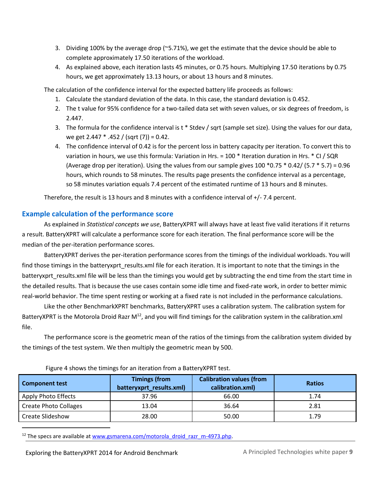- 3. Dividing 100% by the average drop (~5.71%), we get the estimate that the device should be able to complete approximately 17.50 iterations of the workload.
- 4. As explained above, each iteration lasts 45 minutes, or 0.75 hours. Multiplying 17.50 iterations by 0.75 hours, we get approximately 13.13 hours, or about 13 hours and 8 minutes.

The calculation of the confidence interval for the expected battery life proceeds as follows:

- 1. Calculate the standard deviation of the data. In this case, the standard deviation is 0.452.
- 2. The t value for 95% confidence for a two-tailed data set with seven values, or six degrees of freedom, is 2.447.
- 3. The formula for the confidence interval is t \* Stdev / sqrt (sample set size). Using the values for our data, we get 2.447  $*$  .452 / (sqrt (7)) = 0.42.
- 4. The confidence interval of 0.42 is for the percent loss in battery capacity per iteration. To convert this to variation in hours, we use this formula: Variation in Hrs. = 100 \* Iteration duration in Hrs. \* CI / SQR (Average drop per iteration). Using the values from our sample gives  $100 * 0.75 * 0.42 / (5.7 * 5.7) = 0.96$ hours, which rounds to 58 minutes. The results page presents the confidence interval as a percentage, so 58 minutes variation equals 7.4 percent of the estimated runtime of 13 hours and 8 minutes.

Therefore, the result is 13 hours and 8 minutes with a confidence interval of +/- 7.4 percent.

### <span id="page-8-0"></span>**Example calculation of the performance score**

As explained in *Statistical concepts we use*, BatteryXPRT will always have at least five valid iterations if it returns a result. BatteryXPRT will calculate a performance score for each iteration. The final performance score will be the median of the per-iteration performance scores.

BatteryXPRT derives the per-iteration performance scores from the timings of the individual workloads. You will find those timings in the batteryxprt results.xml file for each iteration. It is important to note that the timings in the batteryxprt\_results.xml file will be less than the timings you would get by subtracting the end time from the start time in the detailed results. That is because the use cases contain some idle time and fixed-rate work, in order to better mimic real-world behavior. The time spent resting or working at a fixed rate is not included in the performance calculations.

Like the other BenchmarkXPRT benchmarks, BatteryXPRT uses a calibration system. The calibration system for BatteryXPRT is the Motorola Droid Razr M<sup>12</sup>, and you will find timings for the calibration system in the calibration.xml file.

The performance score is the geometric mean of the ratios of the timings from the calibration system divided by the timings of the test system. We then multiply the geometric mean by 500.

| <b>Component test</b>        | <b>Timings (from</b><br>batteryxprt_results.xml) | <b>Calibration values (from</b><br>calibration.xml) | <b>Ratios</b> |
|------------------------------|--------------------------------------------------|-----------------------------------------------------|---------------|
| Apply Photo Effects          | 37.96                                            | 66.00                                               | 1.74          |
| <b>Create Photo Collages</b> | 13.04                                            | 36.64                                               | 2.81          |
| Create Slideshow             | 28.00                                            | 50.00                                               | 1.79          |

Figure 4 shows the timings for an iteration from a BatteryXPRT test.

<sup>12</sup> The specs are available at [www.gsmarena.com/motorola\\_droid\\_razr\\_m-4973.php.](http://www.gsmarena.com/motorola_droid_razr_m-4973.php)

Exploring the BatteryXPRT 2014 for Android Benchmark A Principled Technologies white paper 9

l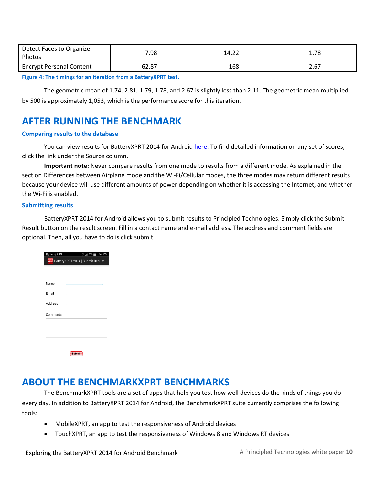| Detect Faces to Organize<br>Photos | 7.98  | 14.22 | 1.78 |
|------------------------------------|-------|-------|------|
| <b>Encrypt Personal Content</b>    | 62.87 | 168   | 2.67 |

**Figure 4: The timings for an iteration from a BatteryXPRT test.**

The geometric mean of 1.74, 2.81, 1.79, 1.78, and 2.67 is slightly less than 2.11. The geometric mean multiplied by 500 is approximately 1,053, which is the performance score for this iteration.

# <span id="page-9-0"></span>**AFTER RUNNING THE BENCHMARK**

#### <span id="page-9-1"></span>**Comparing results to the database**

You can view results for BatteryXPRT 2014 for Androi[d here.](http://principledtechnologies.com/benchmarkxprt/batteryxprt/2014/results) To find detailed information on any set of scores, click the link under the Source column.

**Important note:** Never compare results from one mode to results from a different mode. As explained in the section Differences between Airplane mode and the Wi-Fi/Cellular modes, the three modes may return different results because your device will use different amounts of power depending on whether it is accessing the Internet, and whether the Wi-Fi is enabled.

#### <span id="page-9-2"></span>**Submitting results**

BatteryXPRT 2014 for Android allows you to submit results to Principled Technologies. Simply click the Submit Result button on the result screen. Fill in a contact name and e-mail address. The address and comment fields are optional. Then, all you have to do is click submit.

| 吸回の自     | $\widehat{\mathbb{Z}}$ at $\mathbb{S}^{0\%}$ 5:59 PM<br><b>XPRT</b> BatteryXPRT 2014   Submit Results |
|----------|-------------------------------------------------------------------------------------------------------|
|          |                                                                                                       |
|          |                                                                                                       |
| Name     |                                                                                                       |
| Email    |                                                                                                       |
| Address  |                                                                                                       |
| Comments |                                                                                                       |
|          |                                                                                                       |
|          |                                                                                                       |
|          |                                                                                                       |
|          | <b>Submit</b>                                                                                         |

### <span id="page-9-3"></span>**ABOUT THE BENCHMARKXPRT BENCHMARKS**

The BenchmarkXPRT tools are a set of apps that help you test how well devices do the kinds of things you do every day. In addition to BatteryXPRT 2014 for Android, the BenchmarkXPRT suite currently comprises the following tools:

- MobileXPRT, an app to test the responsiveness of Android devices
- TouchXPRT, an app to test the responsiveness of Windows 8 and Windows RT devices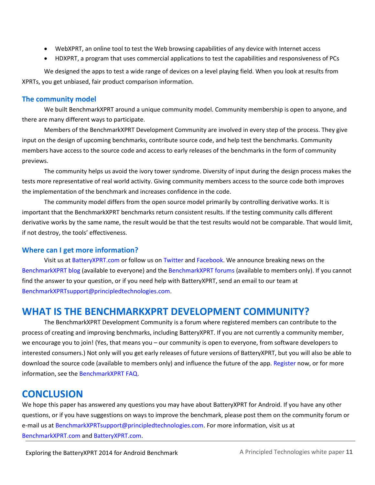- WebXPRT, an online tool to test the Web browsing capabilities of any device with Internet access
- HDXPRT, a program that uses commercial applications to test the capabilities and responsiveness of PCs

We designed the apps to test a wide range of devices on a level playing field. When you look at results from XPRTs, you get unbiased, fair product comparison information.

#### <span id="page-10-0"></span>**The community model**

We built BenchmarkXPRT around a unique community model. Community membership is open to anyone, and there are many different ways to participate.

Members of the BenchmarkXPRT Development Community are involved in every step of the process. They give input on the design of upcoming benchmarks, contribute source code, and help test the benchmarks. Community members have access to the source code and access to early releases of the benchmarks in the form of community previews.

The community helps us avoid the ivory tower syndrome. Diversity of input during the design process makes the tests more representative of real world activity. Giving community members access to the source code both improves the implementation of the benchmark and increases confidence in the code.

The community model differs from the open source model primarily by controlling derivative works. It is important that the BenchmarkXPRT benchmarks return consistent results. If the testing community calls different derivative works by the same name, the result would be that the test results would not be comparable. That would limit, if not destroy, the tools' effectiveness.

### <span id="page-10-1"></span>**Where can I get more information?**

Visit us at [BatteryXPRT.com](http://www.batteryxprt.com/) or follow us on [Twitter](https://twitter.com/benchmarkxprt) and [Facebook.](http://www.facebook.com/BenchmarkXPRT) We announce breaking news on the [BenchmarkXPRT blog](http://principledtechnologies.com/benchmarkxprt/blog/) (available to everyone) and the [BenchmarkXPRT forums](http://www.principledtechnologies.com/hdxprt/forum/forum.php) (available to members only). If you cannot find the answer to your question, or if you need help with BatteryXPRT, send an email to our team at [BenchmarkXPRTsupport@principledtechnologies.com.](mailto:BenchmarkXPRTsupport@principledtechnologies.com)

### <span id="page-10-2"></span>**WHAT IS THE BENCHMARKXPRT DEVELOPMENT COMMUNITY?**

The BenchmarkXPRT Development Community is a forum where registered members can contribute to the process of creating and improving benchmarks, including BatteryXPRT. If you are not currently a community member, we encourage you to join! (Yes, that means you – our community is open to everyone, from software developers to interested consumers.) Not only will you get early releases of future versions of BatteryXPRT, but you will also be able to download the source code (available to members only) and influence the future of the app[. Register](http://www.principledtechnologies.com/hdxprt/forum/register.php) now, or for more information, see th[e BenchmarkXPRT FAQ.](http://www.principledtechnologies.com/benchmarkxprt/faq)

### <span id="page-10-3"></span>**CONCLUSION**

We hope this paper has answered any questions you may have about BatteryXPRT for Android. If you have any other questions, or if you have suggestions on ways to improve the benchmark, please post them on the community forum or e-mail us a[t BenchmarkXPRTsupport@principledtechnologies.com.](mailto:benchmarkxprtsupport@principledtechnologies.com) For more information, visit us at [BenchmarkXPRT.com](http://www.benchmarkxprt.com/) and [BatteryXPRT.com.](http://www.batteryxprt.com/)